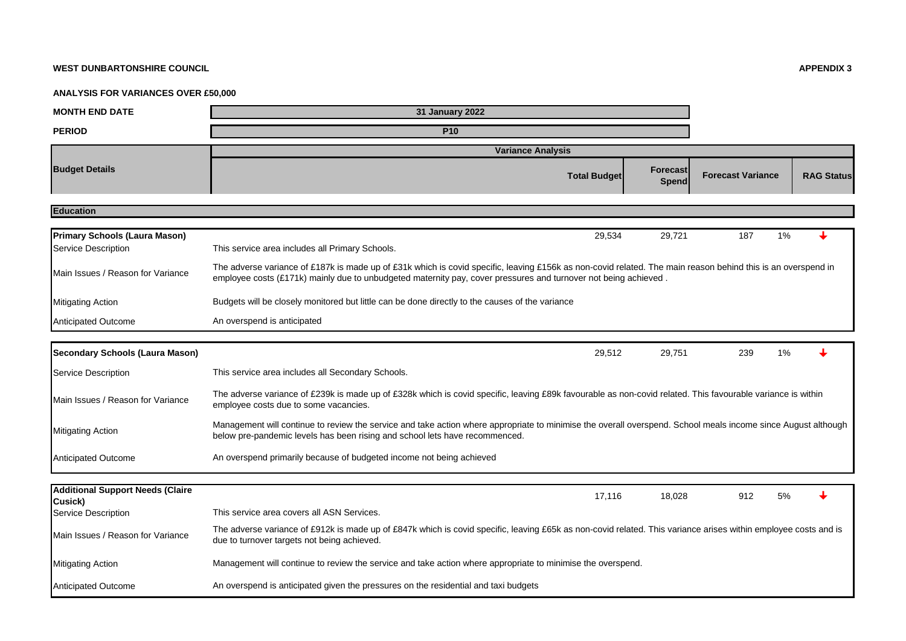## **WEST DUNBARTONSHIRE COUNCIL APPENDIX 3**

## **ANALYSIS FOR VARIANCES OVER £50,000**

| <b>MONTH END DATE</b>                                       | <b>31 January 2022</b>                                                                                                                                                                                                                                                          |                   |                          |                   |  |  |  |  |
|-------------------------------------------------------------|---------------------------------------------------------------------------------------------------------------------------------------------------------------------------------------------------------------------------------------------------------------------------------|-------------------|--------------------------|-------------------|--|--|--|--|
| <b>PERIOD</b>                                               | <b>P10</b>                                                                                                                                                                                                                                                                      |                   |                          |                   |  |  |  |  |
|                                                             | <b>Variance Analysis</b>                                                                                                                                                                                                                                                        |                   |                          |                   |  |  |  |  |
| <b>Budget Details</b>                                       | <b>Total Budget</b>                                                                                                                                                                                                                                                             | Forecast<br>Spend | <b>Forecast Variance</b> | <b>RAG Status</b> |  |  |  |  |
| <b>Education</b>                                            |                                                                                                                                                                                                                                                                                 |                   |                          |                   |  |  |  |  |
|                                                             |                                                                                                                                                                                                                                                                                 |                   |                          |                   |  |  |  |  |
| <b>Primary Schools (Laura Mason)</b><br>Service Description | 29,534<br>This service area includes all Primary Schools.                                                                                                                                                                                                                       | 29,721            | 1%<br>187                |                   |  |  |  |  |
| Main Issues / Reason for Variance                           | The adverse variance of £187k is made up of £31k which is covid specific, leaving £156k as non-covid related. The main reason behind this is an overspend in<br>employee costs (£171k) mainly due to unbudgeted maternity pay, cover pressures and turnover not being achieved. |                   |                          |                   |  |  |  |  |
| <b>Mitigating Action</b>                                    | Budgets will be closely monitored but little can be done directly to the causes of the variance                                                                                                                                                                                 |                   |                          |                   |  |  |  |  |
| <b>Anticipated Outcome</b>                                  | An overspend is anticipated                                                                                                                                                                                                                                                     |                   |                          |                   |  |  |  |  |
|                                                             |                                                                                                                                                                                                                                                                                 |                   |                          |                   |  |  |  |  |
| <b>Secondary Schools (Laura Mason)</b>                      | 29,512                                                                                                                                                                                                                                                                          | 29,751            | 239<br>1%                |                   |  |  |  |  |
| Service Description                                         | This service area includes all Secondary Schools.                                                                                                                                                                                                                               |                   |                          |                   |  |  |  |  |
| Main Issues / Reason for Variance                           | The adverse variance of £239k is made up of £328k which is covid specific, leaving £89k favourable as non-covid related. This favourable variance is within<br>employee costs due to some vacancies.                                                                            |                   |                          |                   |  |  |  |  |
| <b>Mitigating Action</b>                                    | Management will continue to review the service and take action where appropriate to minimise the overall overspend. School meals income since August although<br>below pre-pandemic levels has been rising and school lets have recommenced.                                    |                   |                          |                   |  |  |  |  |
| Anticipated Outcome                                         | An overspend primarily because of budgeted income not being achieved                                                                                                                                                                                                            |                   |                          |                   |  |  |  |  |
| <b>Additional Support Needs (Claire</b>                     | 17,116                                                                                                                                                                                                                                                                          | 18,028            | 912<br>5%                |                   |  |  |  |  |
| Cusick)<br>Service Description                              | This service area covers all ASN Services.                                                                                                                                                                                                                                      |                   |                          |                   |  |  |  |  |
| Main Issues / Reason for Variance                           | The adverse variance of £912k is made up of £847k which is covid specific, leaving £65k as non-covid related. This variance arises within employee costs and is<br>due to turnover targets not being achieved.                                                                  |                   |                          |                   |  |  |  |  |
| <b>Mitigating Action</b>                                    | Management will continue to review the service and take action where appropriate to minimise the overspend.                                                                                                                                                                     |                   |                          |                   |  |  |  |  |
| <b>Anticipated Outcome</b>                                  | An overspend is anticipated given the pressures on the residential and taxi budgets                                                                                                                                                                                             |                   |                          |                   |  |  |  |  |